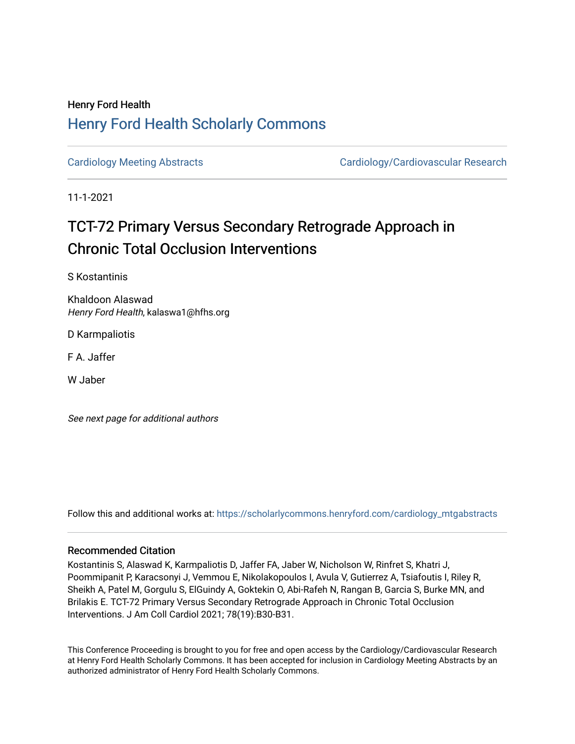## Henry Ford Health [Henry Ford Health Scholarly Commons](https://scholarlycommons.henryford.com/)

[Cardiology Meeting Abstracts](https://scholarlycommons.henryford.com/cardiology_mtgabstracts) Cardiology/Cardiovascular Research

11-1-2021

# TCT-72 Primary Versus Secondary Retrograde Approach in Chronic Total Occlusion Interventions

S Kostantinis

Khaldoon Alaswad Henry Ford Health, kalaswa1@hfhs.org

D Karmpaliotis

F A. Jaffer

W Jaber

See next page for additional authors

Follow this and additional works at: [https://scholarlycommons.henryford.com/cardiology\\_mtgabstracts](https://scholarlycommons.henryford.com/cardiology_mtgabstracts?utm_source=scholarlycommons.henryford.com%2Fcardiology_mtgabstracts%2F310&utm_medium=PDF&utm_campaign=PDFCoverPages) 

### Recommended Citation

Kostantinis S, Alaswad K, Karmpaliotis D, Jaffer FA, Jaber W, Nicholson W, Rinfret S, Khatri J, Poommipanit P, Karacsonyi J, Vemmou E, Nikolakopoulos I, Avula V, Gutierrez A, Tsiafoutis I, Riley R, Sheikh A, Patel M, Gorgulu S, ElGuindy A, Goktekin O, Abi-Rafeh N, Rangan B, Garcia S, Burke MN, and Brilakis E. TCT-72 Primary Versus Secondary Retrograde Approach in Chronic Total Occlusion Interventions. J Am Coll Cardiol 2021; 78(19):B30-B31.

This Conference Proceeding is brought to you for free and open access by the Cardiology/Cardiovascular Research at Henry Ford Health Scholarly Commons. It has been accepted for inclusion in Cardiology Meeting Abstracts by an authorized administrator of Henry Ford Health Scholarly Commons.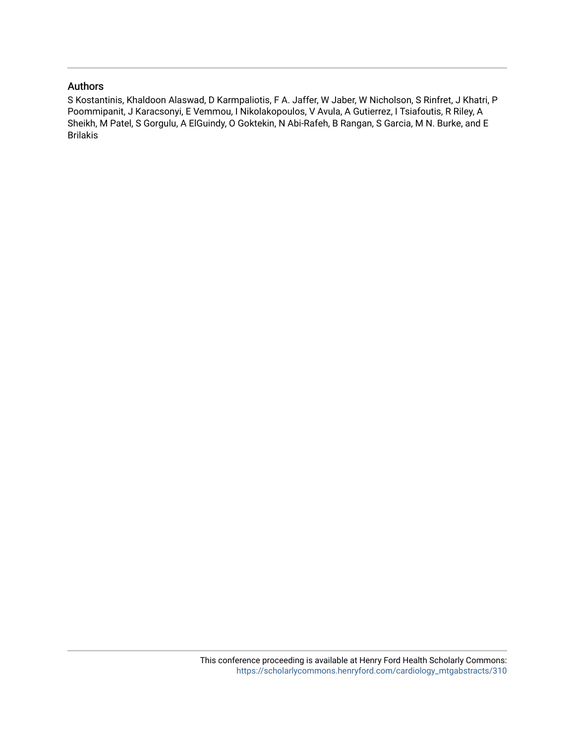## Authors

S Kostantinis, Khaldoon Alaswad, D Karmpaliotis, F A. Jaffer, W Jaber, W Nicholson, S Rinfret, J Khatri, P Poommipanit, J Karacsonyi, E Vemmou, I Nikolakopoulos, V Avula, A Gutierrez, I Tsiafoutis, R Riley, A Sheikh, M Patel, S Gorgulu, A ElGuindy, O Goktekin, N Abi-Rafeh, B Rangan, S Garcia, M N. Burke, and E Brilakis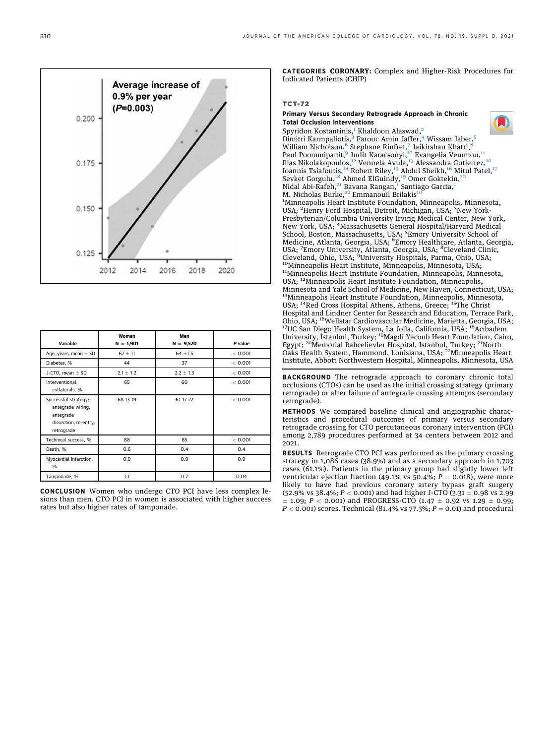

| Variable                                                                                      | Women<br>$N = 1,901$ | Men<br>$N = 9,520$ | P value |
|-----------------------------------------------------------------------------------------------|----------------------|--------------------|---------|
| Age, years, mean $\pm$ SD                                                                     | $67 \pm 11$          | $64 + 15$          | < 0.001 |
| Diabetes, %                                                                                   | 44                   | 37                 | < 0.001 |
| J-CTO, mean $\pm$ SD                                                                          | $2.1 \pm 1.2$        | $2.2 \pm 1.3$      | < 0.001 |
| Interventional<br>collaterals, %                                                              | 65                   | 60                 | < 0.001 |
| Successful strategy:<br>antegrade wiring,<br>antegrade<br>dissection, re-entry,<br>retrograde | 68 13 19             | 61 17 22           | < 0.001 |
| Technical success, %                                                                          | 88                   | 85                 | < 0.001 |
| Death, %                                                                                      | 0.6                  | 0.4                | 0.4     |
| Myocardial infarction,<br>%                                                                   | 0.9                  | 0.9                | 0.9     |
| Tamponade, %                                                                                  | 1.1                  | 0.7                | 0.04    |

CONCLUSION Women who undergo CTO PCI have less complex lesions than men. CTO PCI in women is associated with higher success rates but also higher rates of tamponade.

CATEGORIES CORONARY: Complex and Higher-Risk Procedures for Indicated Patients (CHIP)

#### TCT-72

#### Primary Versus Secondary Retrograde Approach in Chronic Total Occlusion Interventions

<span id="page-2-5"></span><span id="page-2-4"></span><span id="page-2-3"></span><span id="page-2-2"></span><span id="page-2-1"></span><span id="page-2-0"></span>Spyridon Kostantinis,<sup>[1](#page-2-0)</sup> Khaldoon Alaswad,<sup>[2](#page-2-1)</sup> Dimitri Karmpaliotis,<sup>[3](#page-2-1)</sup> Farouc Amin Jaffer,<sup>[4](#page-2-2)</sup> Wissam Jaber,<sup>[5](#page-2-3)</sup> William Nicholson,<sup>[6](#page-2-4)</sup> Stephane Rinfret,<sup>[7](#page-2-5)</sup> Jaikirshan Khatri,<sup>[8](#page-2-5)</sup> Paul Poommipanit,<sup>[9](#page-2-6)</sup> Judit Karacsonyi,<sup>[10](#page-2-6)</sup> Evangelia Vemmou,<sup>[11](#page-2-7)</sup> Ilias Nikolakopoulos,<sup>[12](#page-2-8)</sup> Vennela Avula,<sup>[13](#page-2-9)</sup> Alessandra Gutierrez,<sup>[10](#page-2-6)</sup> Ioannis Tsiafoutis,<sup>[14](#page-2-10)</sup> Robert Riley,<sup>[15](#page-2-10)</sup> Abdul Sheikh,<sup>[16](#page-2-11)</sup> Mitul Patel,<sup>[17](#page-2-11)</sup> Sevket Gorgulu,<sup>[18](#page-2-12)</sup> Ahmed ElGuindy,<sup>[19](#page-2-13)</sup> Omer Goktekin,<sup>[20](#page-2-14)</sup> Nidal Abi-Rafeh,<sup>[21](#page-2-14)</sup> Bavana Rangan,<sup>[1](#page-2-0)</sup> Santiago Garcia,<sup>1</sup> M. Nicholas Burke, $22$  Emmanouil Brilakis<sup>1</sup> 1 Minneapolis Heart Institute Foundation, Minneapolis, Minnesota, USA; <sup>2</sup>Henry Ford Hospital, Detroit, Michigan, USA; <sup>3</sup>New York-Presbyterian/Columbia University Irving Medical Center, New York, New York, USA; <sup>4</sup> Massachusetts General Hospital/Harvard Medical School, Boston, Massachusetts, USA; <sup>5</sup>Emory University School of Medicine, Atlanta, Georgia, USA; <sup>6</sup>Emory Healthcare, Atlanta, Georgia, USA; <sup>7</sup>Emory University, Atlanta, Georgia, USA; <sup>8</sup>Cleveland Clinic, Cleveland, Ohio, USA; <sup>9</sup>University Hospitals, Parma, Ohio, USA;<br><sup>10</sup>Minneapolis Heart Institute, Minneapolis, Minnesota, USA; <sup>11</sup>Minneapolis Heart Institute Foundation, Minneapolis, Minnesota, USA; 12Minneapolis Heart Institute Foundation, Minneapolis, Minnesota and Yale School of Medicine, New Haven, Connecticut, USA; <sup>13</sup>Minneapolis Heart Institute Foundation, Minneapolis, Minnesota, USA; <sup>14</sup>Red Cross Hospital Athens, Athens, Greece; <sup>15</sup>The Christ Hospital and Lindner Center for Research and Education, Terrace Park, Ohio, USA; 16Wellstar Cardiovascular Medicine, Marietta, Georgia, USA; 17UC San Diego Health System, La Jolla, California, USA; 18Acıbadem University, İstanbul, Turkey; <sup>19</sup>Magdi Yacoub Heart Foundation, Cairo, Egypt; <sup>20</sup>Memorial Bahcelievler Hospital, Istanbul, Turkey; <sup>21</sup>North Oaks Health System, Hammond, Louisiana, USA; <sup>22</sup>Minneapolis Heart Institute, Abbott Northwestern Hospital, Minneapolis, Minnesota, USA BACKGROUND The retrograde approach to coronary chronic total

<span id="page-2-15"></span><span id="page-2-14"></span><span id="page-2-13"></span><span id="page-2-12"></span><span id="page-2-11"></span><span id="page-2-10"></span><span id="page-2-9"></span><span id="page-2-8"></span><span id="page-2-7"></span><span id="page-2-6"></span>occlusions (CTOs) can be used as the initial crossing strategy (primary retrograde) or after failure of antegrade crossing attempts (secondary retrograde).

METHODS We compared baseline clinical and angiographic characteristics and procedural outcomes of primary versus secondary retrograde crossing for CTO percutaneous coronary intervention (PCI) among 2,789 procedures performed at 34 centers between 2012 and 2021.

**RESULTS** Retrograde CTO PCI was performed as the primary crossing strategy in 1,086 cases (38.9%) and as a secondary approach in 1,703 cases (61.1%). Patients in the primary group had slightly lower left ventricular ejection fraction (49.1% vs 50.4%;  $P = 0.018$ ), were more likely to have had previous coronary artery bypass graft surgery (52.9% vs 38.4%;  $P < 0.001$ ) and had higher J-CTO (3.31  $\pm$  0.98 vs 2.99  $\pm$  1.09; P < 0.001) and PROGRESS-CTO (1.47  $\pm$  0.92 vs 1.29  $\pm$  0.99;  $P < 0.001$ ) scores. Technical (81.4% vs 77.3%;  $P = 0.01$ ) and procedural